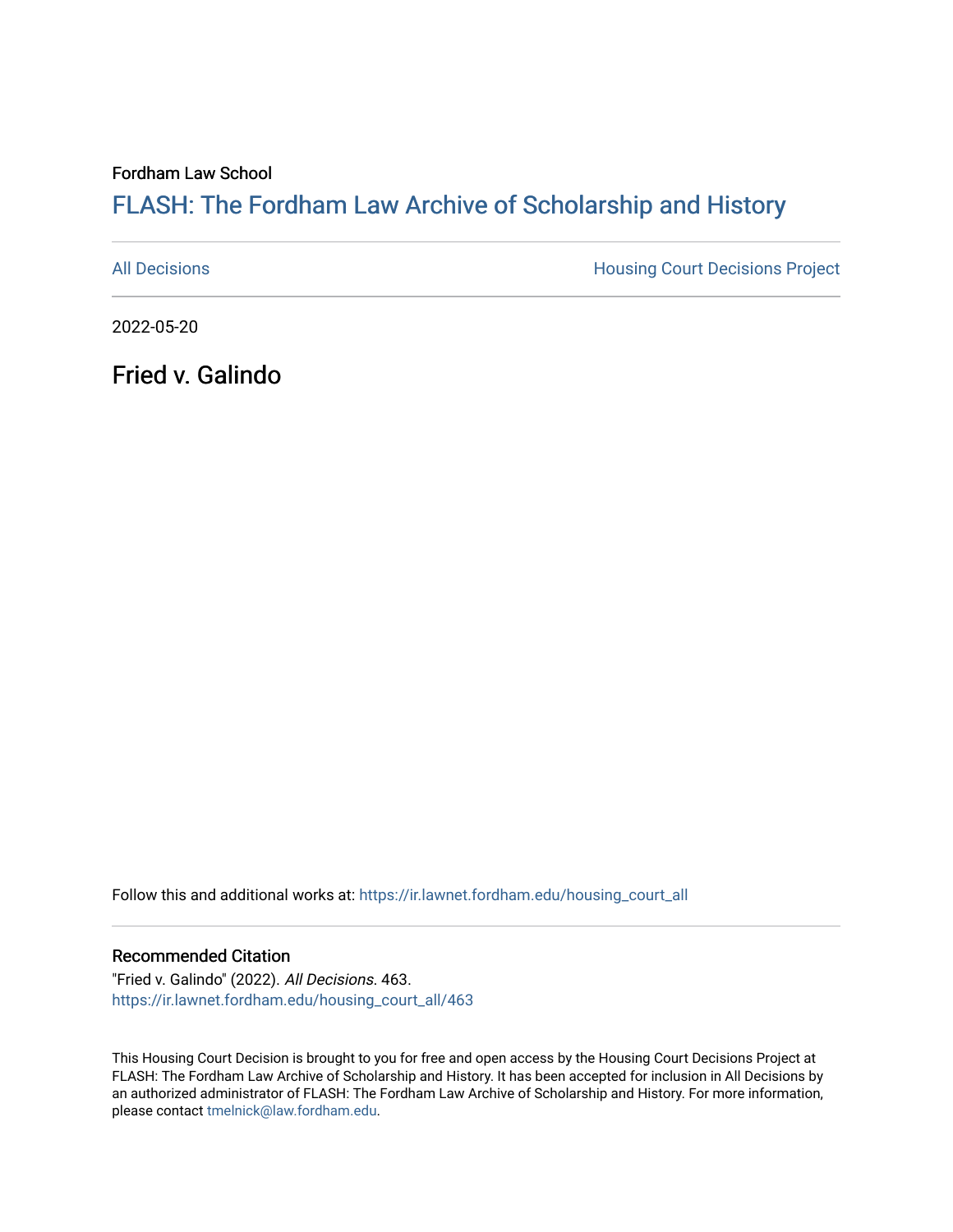Fordham Law School

# FLASH: The For[dham Law Archive of Scholarship and Hist](https://ir.lawnet.fordham.edu/)ory

[All Decisions](https://ir.lawnet.fordham.edu/housing_court_all) **All Decisions All Decisions** Project

2022-05-20

Fried v. Galindo

Follow this and additional works at: [https://ir.lawnet.fordham.edu/housing\\_court\\_all](https://ir.lawnet.fordham.edu/housing_court_all?utm_source=ir.lawnet.fordham.edu%2Fhousing_court_all%2F463&utm_medium=PDF&utm_campaign=PDFCoverPages)

#### Recommended Citation

"Fried v. Galindo" (2022). All Decisions. 463. [https://ir.lawnet.fordham.edu/housing\\_court\\_all/463](https://ir.lawnet.fordham.edu/housing_court_all/463?utm_source=ir.lawnet.fordham.edu%2Fhousing_court_all%2F463&utm_medium=PDF&utm_campaign=PDFCoverPages)

This Housing Court Decision is brought to you for free and open access by the Housing Court Decisions Project at FLASH: The Fordham Law Archive of Scholarship and History. It has been accepted for inclusion in All Decisions by an authorized administrator of FLASH: The Fordham Law Archive of Scholarship and History. For more information, please contact [tmelnick@law.fordham.edu](mailto:tmelnick@law.fordham.edu).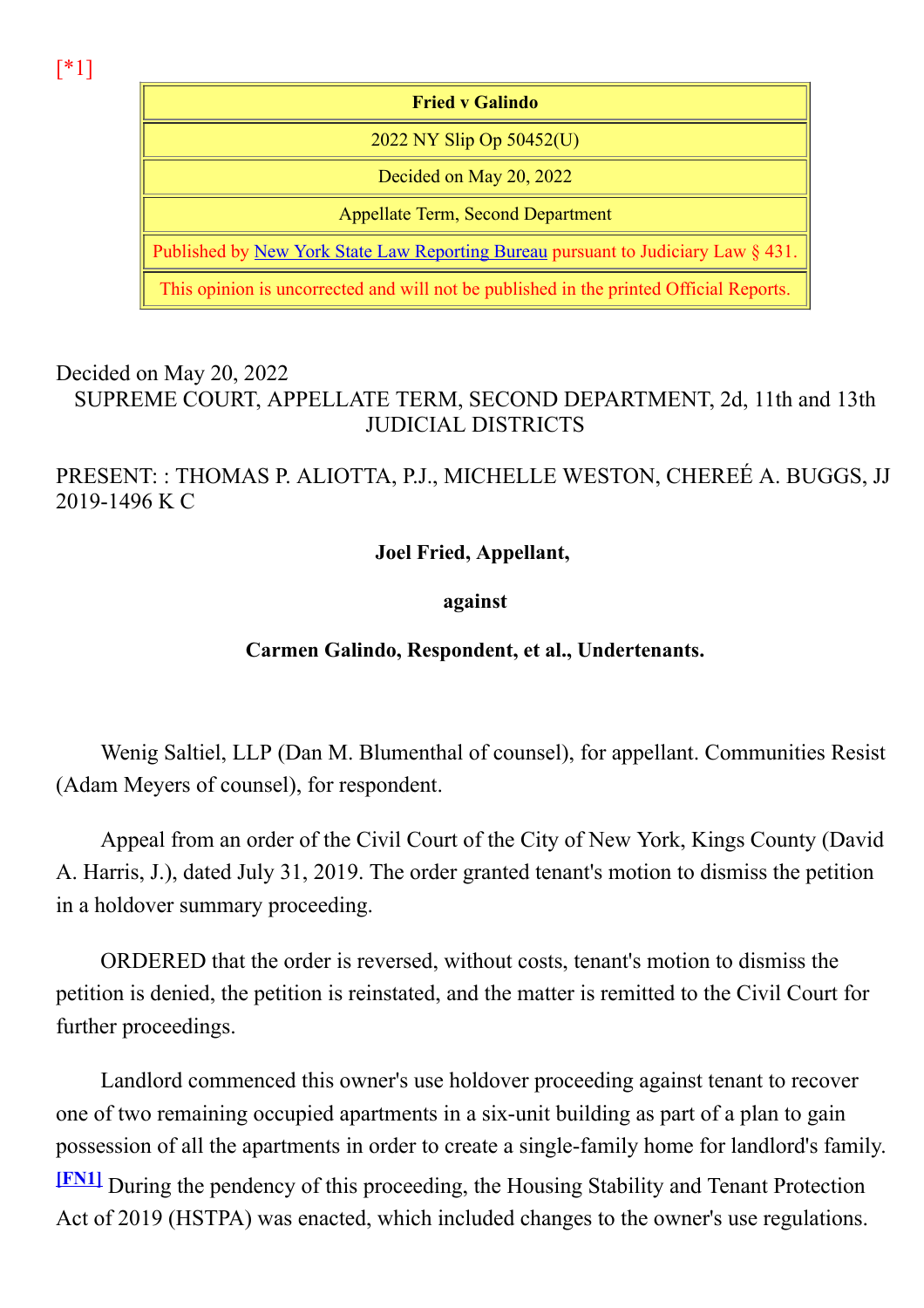[\*1]

Fried v Galindo 2022 NY Slip Op 50452(U) Decided on May 20, 2022 Appellate Term, Second Department Published by New York State Law Reporting Bureau pursuant to Judiciary Law § 431. This opinion is uncorrected and will not be published in the printed Official Reports.

#### Decided on May 20, 2022 SUPREME COURT, APPELLATE TERM, SECOND DEPARTMENT, 2d, 11th and 13th JUDICIAL DISTRICTS

## PRESENT: : THOMAS P. ALIOTTA, P.J., MICHELLE WESTON, CHEREÉ A. BUGGS, JJ 2019-1496 K C

## Joel Fried, Appellant,

#### against

# Carmen Galindo, Respondent, et al., Undertenants.

Wenig Saltiel, LLP (Dan M. Blumenthal of counsel), for appellant. Communities Resist (Adam Meyers of counsel), for respondent.

Appeal from an order of the Civil Court of the City of New York, Kings County (David A. Harris, J.), dated July 31, 2019. The order granted tenant's motion to dismiss the petition in a holdover summary proceeding.

ORDERED that the order is reversed, without costs, tenant's motion to dismiss the petition is denied, the petition is reinstated, and the matter is remitted to the Civil Court for further proceedings.

Landlord commenced this owner's use holdover proceeding against tenant to recover one of two remaining occupied apartments in a six-unit building as part of a plan to gain possession of all the apartments in order to create a single-family home for landlord's family. [FN1] During the pendency of this proceeding, the Housing Stability and Tenant Protection Act of 2019 (HSTPA) was enacted, which included changes to the owner's use regulations.